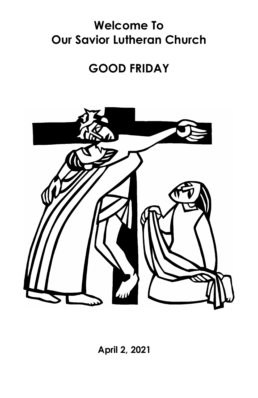# **Welcome To Our Savior Lutheran Church**

# **GOOD FRIDAY**



 **April 2, 2021**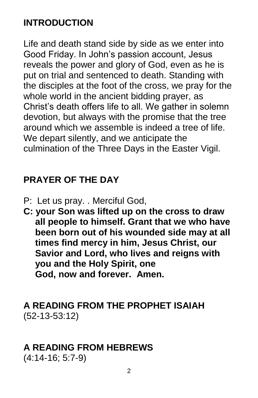## **INTRODUCTION**

Life and death stand side by side as we enter into Good Friday. In John's passion account, Jesus reveals the power and glory of God, even as he is put on trial and sentenced to death. Standing with the disciples at the foot of the cross, we pray for the whole world in the ancient bidding prayer, as Christ's death offers life to all. We gather in solemn devotion, but always with the promise that the tree around which we assemble is indeed a tree of life. We depart silently, and we anticipate the culmination of the Three Days in the Easter Vigil.

## **PRAYER OF THE DAY**

- P: Let us pray. . Merciful God,
- **C: your Son was lifted up on the cross to draw all people to himself. Grant that we who have been born out of his wounded side may at all times find mercy in him, Jesus Christ, our Savior and Lord, who lives and reigns with you and the Holy Spirit, one God, now and forever. Amen.**

## **A READING FROM THE PROPHET ISAIAH** (52-13-53:12)

## **A READING FROM HEBREWS**

(4:14-16; 5:7-9)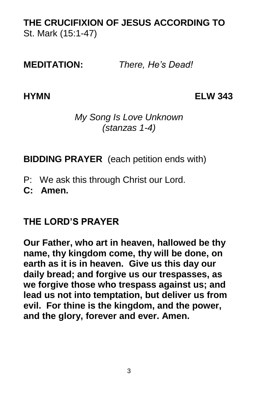## **THE CRUCIFIXION OF JESUS ACCORDING TO**  St. Mark (15:1-47)

**MEDITATION:** *There, He's Dead!*

**HYMN ELW 343**

#### *My Song Is Love Unknown (stanzas 1-4)*

**BIDDING PRAYER** (each petition ends with)

P: We ask this through Christ our Lord.

**C: Amen.**

## **THE LORD'S PRAYER**

**Our Father, who art in heaven, hallowed be thy name, thy kingdom come, thy will be done, on earth as it is in heaven. Give us this day our daily bread; and forgive us our trespasses, as we forgive those who trespass against us; and lead us not into temptation, but deliver us from evil. For thine is the kingdom, and the power, and the glory, forever and ever. Amen.**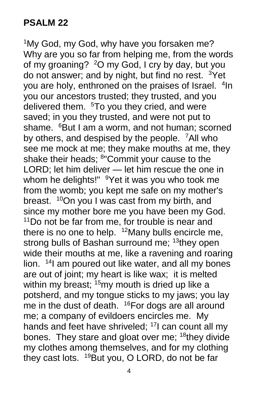<sup>1</sup>My God, my God, why have you forsaken me? Why are you so far from helping me, from the words of my groaning? <sup>2</sup>O my God, I cry by day, but you do not answer; and by night, but find no rest.  $3$ Yet you are holy, enthroned on the praises of Israel. <sup>4</sup>In you our ancestors trusted; they trusted, and you delivered them. <sup>5</sup>To you they cried, and were saved; in you they trusted, and were not put to shame. <sup>6</sup>But I am a worm, and not human; scorned by others, and despised by the people. <sup>7</sup>All who see me mock at me; they make mouths at me, they shake their heads; <sup>8</sup>"Commit your cause to the LORD; let him deliver — let him rescue the one in whom he delights!" <sup>9</sup>Yet it was you who took me from the womb; you kept me safe on my mother's breast. <sup>10</sup>On you I was cast from my birth, and since my mother bore me you have been my God. <sup>11</sup>Do not be far from me, for trouble is near and there is no one to help.  $12$ Many bulls encircle me, strong bulls of Bashan surround me; <sup>13</sup>they open wide their mouths at me, like a ravening and roaring lion. <sup>14</sup> am poured out like water, and all my bones are out of joint; my heart is like wax; it is melted within my breast;  $15$ my mouth is dried up like a potsherd, and my tongue sticks to my jaws; you lay me in the dust of death. <sup>16</sup>For dogs are all around me; a company of evildoers encircles me. My hands and feet have shriveled; <sup>17</sup>I can count all my bones. They stare and gloat over me; <sup>18</sup>they divide my clothes among themselves, and for my clothing they cast lots. <sup>19</sup>But you, O LORD, do not be far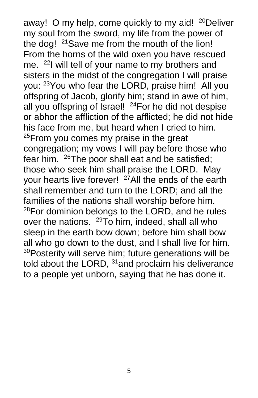away! O my help, come quickly to my aid! <sup>20</sup>Deliver my soul from the sword, my life from the power of the dog! <sup>21</sup>Save me from the mouth of the lion! From the horns of the wild oxen you have rescued me. <sup>22</sup>I will tell of your name to my brothers and sisters in the midst of the congregation I will praise you: <sup>23</sup>You who fear the LORD, praise him! All you offspring of Jacob, glorify him; stand in awe of him, all you offspring of Israel! <sup>24</sup>For he did not despise or abhor the affliction of the afflicted; he did not hide his face from me, but heard when I cried to him.  $25$ From you comes my praise in the great congregation; my vows I will pay before those who fear him. <sup>26</sup>The poor shall eat and be satisfied; those who seek him shall praise the LORD. May your hearts live forever! <sup>27</sup>All the ends of the earth shall remember and turn to the LORD; and all the families of the nations shall worship before him.  $28$ For dominion belongs to the LORD, and he rules over the nations. <sup>29</sup>To him, indeed, shall all who sleep in the earth bow down; before him shall bow all who go down to the dust, and I shall live for him. <sup>30</sup>Posterity will serve him; future generations will be told about the LORD, <sup>31</sup> and proclaim his deliverance to a people yet unborn, saying that he has done it.